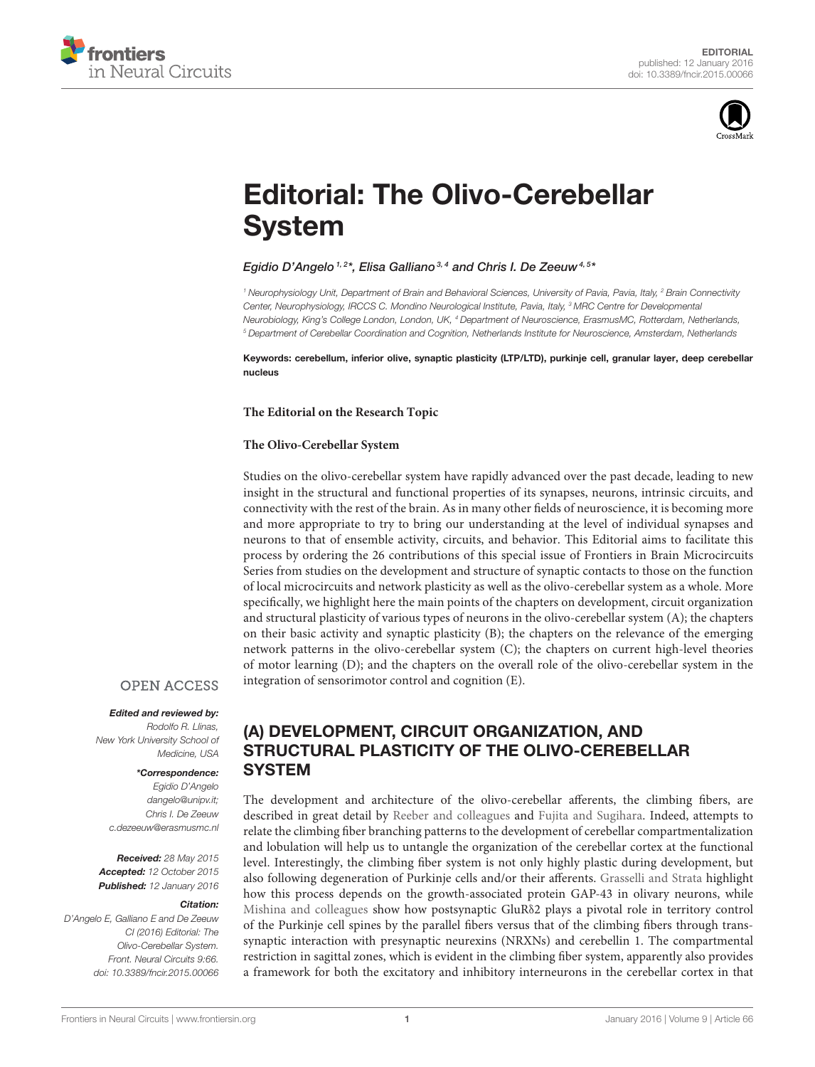



# [Editorial: The Olivo-Cerebellar](http://journal.frontiersin.org/article/10.3389/fncir.2015.00066/full) System

#### [Egidio D'Angelo](http://loop.frontiersin.org/people/219/overview)  $^{1,2*}$ , [Elisa Galliano](http://loop.frontiersin.org/people/85600/overview)  $^{3,4}$  and [Chris I. De Zeeuw](http://loop.frontiersin.org/people/2847/overview)  $^{4,5*}$

*<sup>1</sup> Neurophysiology Unit, Department of Brain and Behavioral Sciences, University of Pavia, Pavia, Italy, <sup>2</sup> Brain Connectivity Center, Neurophysiology, IRCCS C. Mondino Neurological Institute, Pavia, Italy, <sup>3</sup> MRC Centre for Developmental Neurobiology, King's College London, London, UK, <sup>4</sup> Department of Neuroscience, ErasmusMC, Rotterdam, Netherlands, <sup>5</sup> Department of Cerebellar Coordination and Cognition, Netherlands Institute for Neuroscience, Amsterdam, Netherlands*

Keywords: cerebellum, inferior olive, synaptic plasticity (LTP/LTD), purkinje cell, granular layer, deep cerebellar nucleus

**The Editorial on the Research Topic**

#### **[The Olivo-Cerebellar System](http://journal.frontiersin.org/researchtopic/653/the-olivo-cerebellar-system-frontiers-in-brain-microcircuits-series)**

Studies on the olivo-cerebellar system have rapidly advanced over the past decade, leading to new insight in the structural and functional properties of its synapses, neurons, intrinsic circuits, and connectivity with the rest of the brain. As in many other fields of neuroscience, it is becoming more and more appropriate to try to bring our understanding at the level of individual synapses and neurons to that of ensemble activity, circuits, and behavior. This Editorial aims to facilitate this process by ordering the 26 contributions of this special issue of Frontiers in Brain Microcircuits Series from studies on the development and structure of synaptic contacts to those on the function of local microcircuits and network plasticity as well as the olivo-cerebellar system as a whole. More specifically, we highlight here the main points of the chapters on development, circuit organization and structural plasticity of various types of neurons in the olivo-cerebellar system (A); the chapters on their basic activity and synaptic plasticity (B); the chapters on the relevance of the emerging network patterns in the olivo-cerebellar system (C); the chapters on current high-level theories of motor learning (D); and the chapters on the overall role of the olivo-cerebellar system in the integration of sensorimotor control and cognition (E).

#### **OPEN ACCESS**

#### Edited and reviewed by:

*Rodolfo R. Llinas, New York University School of Medicine, USA*

#### \*Correspondence:

*Egidio D'Angelo [dangelo@unipv.it;](mailto:dangelo@unipv.it) Chris I. De Zeeuw [c.dezeeuw@erasmusmc.nl](mailto:c.dezeeuw@erasmusmc.nl)*

Received: *28 May 2015* Accepted: *12 October 2015* Published: *12 January 2016*

#### Citation:

*D'Angelo E, Galliano E and De Zeeuw CI (2016) Editorial: The Olivo-Cerebellar System. Front. Neural Circuits 9:66. doi: [10.3389/fncir.2015.00066](http://dx.doi.org/10.3389/fncir.2015.00066)*

### (A) DEVELOPMENT, CIRCUIT ORGANIZATION, AND STRUCTURAL PLASTICITY OF THE OLIVO-CEREBELLAR **SYSTEM**

The development and architecture of the olivo-cerebellar afferents, the climbing fibers, are described in great detail by [Reeber and colleagues](http://dx.doi.org/10.3389/fncir.2012.00115) and [Fujita and Sugihara.](http://dx.doi.org/10.3389/fncir.2013.00003) Indeed, attempts to relate the climbing fiber branching patterns to the development of cerebellar compartmentalization and lobulation will help us to untangle the organization of the cerebellar cortex at the functional level. Interestingly, the climbing fiber system is not only highly plastic during development, but also following degeneration of Purkinje cells and/or their afferents. [Grasselli and Strata](http://dx.doi.org/10.3389/fncir.2013.00025) highlight how this process depends on the growth-associated protein GAP-43 in olivary neurons, while [Mishina and colleagues](http://dx.doi.org/10.3389/fncir.2012.00090) show how postsynaptic GluRδ2 plays a pivotal role in territory control of the Purkinje cell spines by the parallel fibers versus that of the climbing fibers through transsynaptic interaction with presynaptic neurexins (NRXNs) and cerebellin 1. The compartmental restriction in sagittal zones, which is evident in the climbing fiber system, apparently also provides a framework for both the excitatory and inhibitory interneurons in the cerebellar cortex in that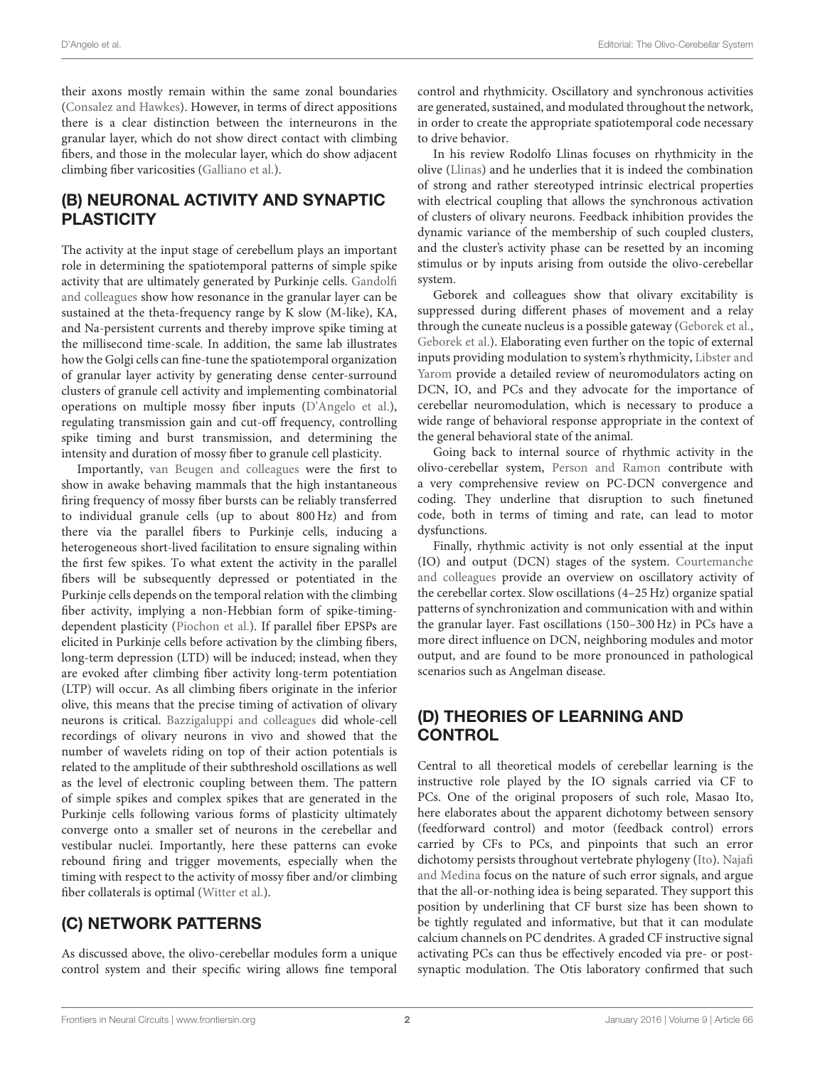their axons mostly remain within the same zonal boundaries [\(Consalez and Hawkes\)](http://dx.doi.org/10.3389/fncir.2012.00123). However, in terms of direct appositions there is a clear distinction between the interneurons in the granular layer, which do not show direct contact with climbing fibers, and those in the molecular layer, which do show adjacent climbing fiber varicosities [\(Galliano et al.\)](http://dx.doi.org/10.3389/fncir.2013.00059).

### (B) NEURONAL ACTIVITY AND SYNAPTIC **PLASTICITY**

The activity at the input stage of cerebellum plays an important role in determining the spatiotemporal patterns of simple spike [activity that are ultimately generated by Purkinje cells.](http://dx.doi.org/10.3389/fncir.2013.00064) Gandolfi and colleagues show how resonance in the granular layer can be sustained at the theta-frequency range by K slow (M-like), KA, and Na-persistent currents and thereby improve spike timing at the millisecond time-scale. In addition, the same lab illustrates how the Golgi cells can fine-tune the spatiotemporal organization of granular layer activity by generating dense center-surround clusters of granule cell activity and implementing combinatorial operations on multiple mossy fiber inputs [\(D'Angelo et al.\)](http://dx.doi.org/10.3389/fncir.2013.00093), regulating transmission gain and cut-off frequency, controlling spike timing and burst transmission, and determining the intensity and duration of mossy fiber to granule cell plasticity.

Importantly, [van Beugen and colleagues](http://dx.doi.org/10.3389/fncir.2013.00095) were the first to show in awake behaving mammals that the high instantaneous firing frequency of mossy fiber bursts can be reliably transferred to individual granule cells (up to about 800 Hz) and from there via the parallel fibers to Purkinje cells, inducing a heterogeneous short-lived facilitation to ensure signaling within the first few spikes. To what extent the activity in the parallel fibers will be subsequently depressed or potentiated in the Purkinje cells depends on the temporal relation with the climbing fiber activity, implying a non-Hebbian form of spike-timingdependent plasticity [\(Piochon et al.\)](http://dx.doi.org/10.3389/fncir.2012.00124). If parallel fiber EPSPs are elicited in Purkinje cells before activation by the climbing fibers, long-term depression (LTD) will be induced; instead, when they are evoked after climbing fiber activity long-term potentiation (LTP) will occur. As all climbing fibers originate in the inferior olive, this means that the precise timing of activation of olivary neurons is critical. [Bazzigaluppi and colleagues](http://dx.doi.org/10.3389/fncir.2012.00091) did whole-cell recordings of olivary neurons in vivo and showed that the number of wavelets riding on top of their action potentials is related to the amplitude of their subthreshold oscillations as well as the level of electronic coupling between them. The pattern of simple spikes and complex spikes that are generated in the Purkinje cells following various forms of plasticity ultimately converge onto a smaller set of neurons in the cerebellar and vestibular nuclei. Importantly, here these patterns can evoke rebound firing and trigger movements, especially when the timing with respect to the activity of mossy fiber and/or climbing fiber collaterals is optimal [\(Witter et al.\)](http://dx.doi.org/10.3389/fncir.2013.00133).

### (C) NETWORK PATTERNS

As discussed above, the olivo-cerebellar modules form a unique control system and their specific wiring allows fine temporal control and rhythmicity. Oscillatory and synchronous activities are generated, sustained, and modulated throughout the network, in order to create the appropriate spatiotemporal code necessary to drive behavior.

In his review Rodolfo Llinas focuses on rhythmicity in the olive [\(Llinas\)](http://dx.doi.org/10.3389/fncir.2013.00096) and he underlies that it is indeed the combination of strong and rather stereotyped intrinsic electrical properties with electrical coupling that allows the synchronous activation of clusters of olivary neurons. Feedback inhibition provides the dynamic variance of the membership of such coupled clusters, and the cluster's activity phase can be resetted by an incoming stimulus or by inputs arising from outside the olivo-cerebellar system.

Geborek and colleagues show that olivary excitability is suppressed during different phases of movement and a relay through the cuneate nucleus is a possible gateway [\(Geborek et al.,](http://dx.doi.org/10.3389/fncir.2013.00157) [Geborek et al.\)](http://journal.frontiersin.org/article/10.3389/fncir.2012.00120/abstract). Elaborating even further on the topic of external inputs providing modulation to system's rhythmicity, Libster and Yarom [provide a detailed review of neuromodulators acting on](http://dx.doi.org/10.3389/fncir.2013.00073) DCN, IO, and PCs and they advocate for the importance of cerebellar neuromodulation, which is necessary to produce a wide range of behavioral response appropriate in the context of the general behavioral state of the animal.

Going back to internal source of rhythmic activity in the olivo-cerebellar system, [Person and Ramon](http://dx.doi.org/10.3389/fncir.2012.00097) contribute with a very comprehensive review on PC-DCN convergence and coding. They underline that disruption to such finetuned code, both in terms of timing and rate, can lead to motor dysfunctions.

Finally, rhythmic activity is not only essential at the input [\(IO\) and output \(DCN\) stages of the system.](http://dx.doi.org/10.3389/fncir.2013.00125) Courtemanche and colleagues provide an overview on oscillatory activity of the cerebellar cortex. Slow oscillations (4–25 Hz) organize spatial patterns of synchronization and communication with and within the granular layer. Fast oscillations (150–300 Hz) in PCs have a more direct influence on DCN, neighboring modules and motor output, and are found to be more pronounced in pathological scenarios such as Angelman disease.

### (D) THEORIES OF LEARNING AND **CONTROL**

Central to all theoretical models of cerebellar learning is the instructive role played by the IO signals carried via CF to PCs. One of the original proposers of such role, Masao Ito, here elaborates about the apparent dichotomy between sensory (feedforward control) and motor (feedback control) errors carried by CFs to PCs, and pinpoints that such an error [dichotomy persists throughout vertebrate phylogeny \(Ito\).](http://dx.doi.org/10.3389/fncir.2013.00115) Najafi and Medina focus on the nature of such error signals, and argue that the all-or-nothing idea is being separated. They support this position by underlining that CF burst size has been shown to be tightly regulated and informative, but that it can modulate calcium channels on PC dendrites. A graded CF instructive signal activating PCs can thus be effectively encoded via pre- or postsynaptic modulation. The Otis laboratory confirmed that such